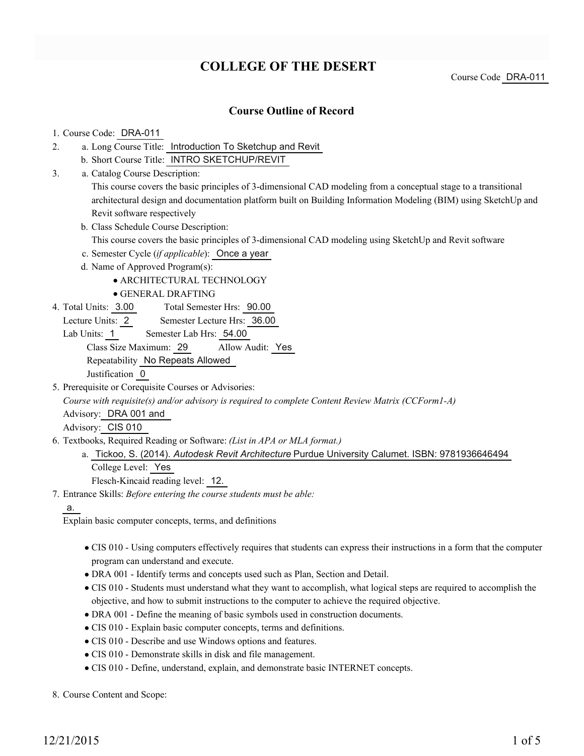# **COLLEGE OF THE DESERT**

Course Code DRA-011

### **Course Outline of Record**

#### 1. Course Code: DRA-011

- a. Long Course Title: Introduction To Sketchup and Revit 2.
	- b. Short Course Title: INTRO SKETCHUP/REVIT
- Catalog Course Description: a. 3.

This course covers the basic principles of 3-dimensional CAD modeling from a conceptual stage to a transitional architectural design and documentation platform built on Building Information Modeling (BIM) using SketchUp and Revit software respectively

b. Class Schedule Course Description:

This course covers the basic principles of 3-dimensional CAD modeling using SketchUp and Revit software

- c. Semester Cycle (*if applicable*): Once a year
- d. Name of Approved Program(s):

ARCHITECTURAL TECHNOLOGY

- GENERAL DRAFTING
- Total Semester Hrs: 90.00 4. Total Units: 3.00
- Lecture Units: 2 Semester Lecture Hrs: 36.00
- Lab Units: 1 Semester Lab Hrs: 54.00

Class Size Maximum: 29 Allow Audit: Yes

Repeatability No Repeats Allowed

Justification 0

5. Prerequisite or Corequisite Courses or Advisories:

*Course with requisite(s) and/or advisory is required to complete Content Review Matrix (CCForm1-A)*

Advisory: DRA 001 and

Advisory: CIS 010

Textbooks, Required Reading or Software: *(List in APA or MLA format.)* 6.

a. Tickoo, S. (2014). *Autodesk Revit Architecture* Purdue University Calumet. ISBN: 9781936646494 College Level: Yes

Flesch-Kincaid reading level: 12.

Entrance Skills: *Before entering the course students must be able:* 7.

a.

Explain basic computer concepts, terms, and definitions

- CIS 010 Using computers effectively requires that students can express their instructions in a form that the computer program can understand and execute.
- DRA 001 Identify terms and concepts used such as Plan, Section and Detail.
- CIS 010 Students must understand what they want to accomplish, what logical steps are required to accomplish the objective, and how to submit instructions to the computer to achieve the required objective.
- DRA 001 Define the meaning of basic symbols used in construction documents.
- CIS 010 Explain basic computer concepts, terms and definitions.
- CIS 010 Describe and use Windows options and features.
- CIS 010 Demonstrate skills in disk and file management.
- CIS 010 Define, understand, explain, and demonstrate basic INTERNET concepts.

8. Course Content and Scope: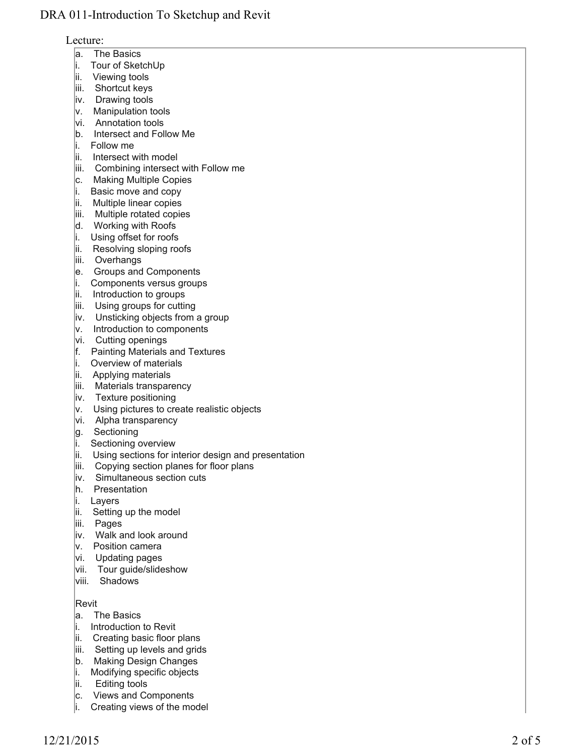#### Lecture:

- a. The Basics
- i. Tour of SketchUp
- lii. Viewing tools
- iii. Shortcut keys
- iv. Drawing tools
- v. Manipulation tools
- vi. Annotation tools
- b. Intersect and Follow Me
- i. Follow me
- ii. Intersect with model
- iii. Combining intersect with Follow me
- c. Making Multiple Copies
- i. Basic move and copy
- ii. Multiple linear copies
- iii. Multiple rotated copies
- d. Working with Roofs
- i. Using offset for roofs
- ii. Resolving sloping roofs
- iii. Overhangs
- e. Groups and Components
- i. Components versus groups
- ii. Introduction to groups
- iii. Using groups for cutting
- iv. Unsticking objects from a group
- v. Introduction to components
- vi. Cutting openings
- f. Painting Materials and Textures
- i. Overview of materials
- ii. Applying materials
- iii. Materials transparency
- iv. Texture positioning
- v. Using pictures to create realistic objects
- vi. Alpha transparency
- g. Sectioning
- i. Sectioning overview
- ii. Using sections for interior design and presentation
- iii. Copying section planes for floor plans
- iv. Simultaneous section cuts
- h. Presentation
- i. Layers
- ii. Setting up the model
- liii. Pages
- iv. Walk and look around
- v. Position camera
- vi. Updating pages
- vii. Tour guide/slideshow
- viii. Shadows

## Revit

- a. The Basics
- i. Introduction to Revit
- ii. Creating basic floor plans
- iii. Setting up levels and grids
- b. Making Design Changes
- i. Modifying specific objects
- lii. Editing tools
- c. Views and Components
- i. Creating views of the model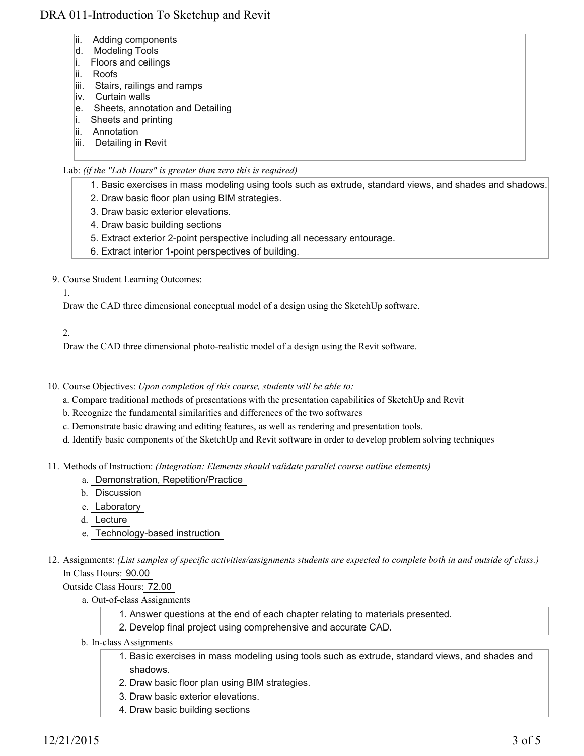- ii. Adding components
- d. Modeling Tools
- i. Floors and ceilings
- ii. Roofs
- iii. Stairs, railings and ramps
- iv. Curtain walls
- e. Sheets, annotation and Detailing
- i. Sheets and printing
- ii. Annotation
- iii. Detailing in Revit

#### Lab: *(if the "Lab Hours" is greater than zero this is required)*

- 1. Basic exercises in mass modeling using tools such as extrude, standard views, and shades and shadows.
- 2. Draw basic floor plan using BIM strategies.
- 3. Draw basic exterior elevations.
- 4. Draw basic building sections
- 5. Extract exterior 2-point perspective including all necessary entourage.
- 6. Extract interior 1-point perspectives of building.

9. Course Student Learning Outcomes:

1.

Draw the CAD three dimensional conceptual model of a design using the SketchUp software.

2.

Draw the CAD three dimensional photo-realistic model of a design using the Revit software.

10. Course Objectives: Upon completion of this course, students will be able to:

a. Compare traditional methods of presentations with the presentation capabilities of SketchUp and Revit

- b. Recognize the fundamental similarities and differences of the two softwares
- c. Demonstrate basic drawing and editing features, as well as rendering and presentation tools.
- d. Identify basic components of the SketchUp and Revit software in order to develop problem solving techniques
- Methods of Instruction: *(Integration: Elements should validate parallel course outline elements)* 11.
	- a. Demonstration, Repetition/Practice
	- b. Discussion
	- c. Laboratory
	- d. Lecture
	- e. Technology-based instruction
- 12. Assignments: (List samples of specific activities/assignments students are expected to complete both in and outside of class.) In Class Hours: 90.00

Outside Class Hours: 72.00

- a. Out-of-class Assignments
	- 1. Answer questions at the end of each chapter relating to materials presented.
	- 2. Develop final project using comprehensive and accurate CAD.
- b. In-class Assignments
	- 1. Basic exercises in mass modeling using tools such as extrude, standard views, and shades and shadows.
	- 2. Draw basic floor plan using BIM strategies.
	- 3. Draw basic exterior elevations.
	- 4. Draw basic building sections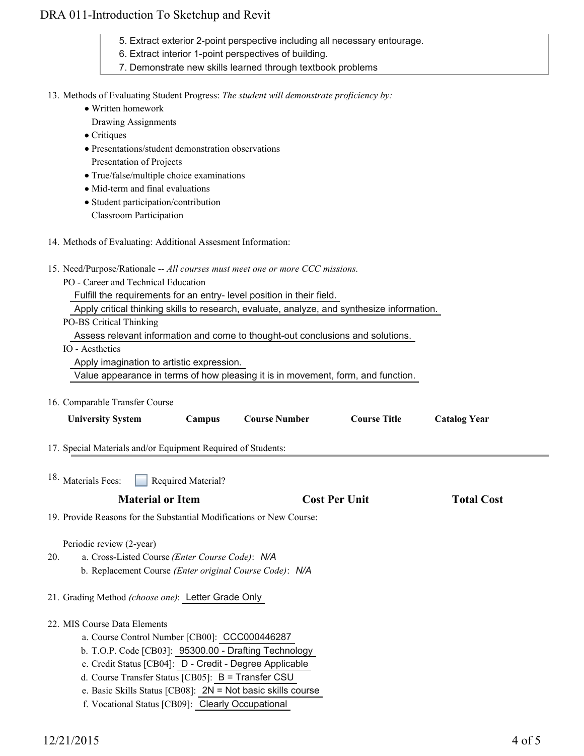- 5. Extract exterior 2-point perspective including all necessary entourage.
- 6. Extract interior 1-point perspectives of building.
- 7. Demonstrate new skills learned through textbook problems

13. Methods of Evaluating Student Progress: The student will demonstrate proficiency by:

- Written homework
	- Drawing Assignments
- Critiques
- Presentations/student demonstration observations Presentation of Projects
- True/false/multiple choice examinations
- Mid-term and final evaluations
- Student participation/contribution Classroom Participation
- 14. Methods of Evaluating: Additional Assesment Information:
- 15. Need/Purpose/Rationale -- All courses must meet one or more CCC missions.
	- PO Career and Technical Education
		- Fulfill the requirements for an entry- level position in their field.
		- Apply critical thinking skills to research, evaluate, analyze, and synthesize information.
	- PO-BS Critical Thinking

Assess relevant information and come to thought-out conclusions and solutions.

- IO Aesthetics
	- Apply imagination to artistic expression.

Value appearance in terms of how pleasing it is in movement, form, and function.

16. Comparable Transfer Course

| <b>University System</b>                                                                                                                                                                                                                                                                                                                                                        | Campus             | <b>Course Number</b> | <b>Course Title</b>  | <b>Catalog Year</b> |
|---------------------------------------------------------------------------------------------------------------------------------------------------------------------------------------------------------------------------------------------------------------------------------------------------------------------------------------------------------------------------------|--------------------|----------------------|----------------------|---------------------|
| 17. Special Materials and/or Equipment Required of Students:                                                                                                                                                                                                                                                                                                                    |                    |                      |                      |                     |
| 18. Materials Fees:                                                                                                                                                                                                                                                                                                                                                             | Required Material? |                      |                      |                     |
| <b>Material or Item</b>                                                                                                                                                                                                                                                                                                                                                         |                    |                      | <b>Cost Per Unit</b> | <b>Total Cost</b>   |
| 19. Provide Reasons for the Substantial Modifications or New Course:                                                                                                                                                                                                                                                                                                            |                    |                      |                      |                     |
| Periodic review (2-year)<br>20.<br>a. Cross-Listed Course (Enter Course Code): N/A<br>b. Replacement Course (Enter original Course Code): N/A<br>21. Grading Method (choose one): Letter Grade Only                                                                                                                                                                             |                    |                      |                      |                     |
| 22. MIS Course Data Elements<br>a. Course Control Number [CB00]: CCC000446287<br>b. T.O.P. Code [CB03]: 95300.00 - Drafting Technology<br>c. Credit Status [CB04]: D - Credit - Degree Applicable<br>d. Course Transfer Status [CB05]: $B =$ Transfer CSU<br>e. Basic Skills Status [CB08]: $2N = Not basic skills course$<br>f. Vocational Status [CB09]: Clearly Occupational |                    |                      |                      |                     |